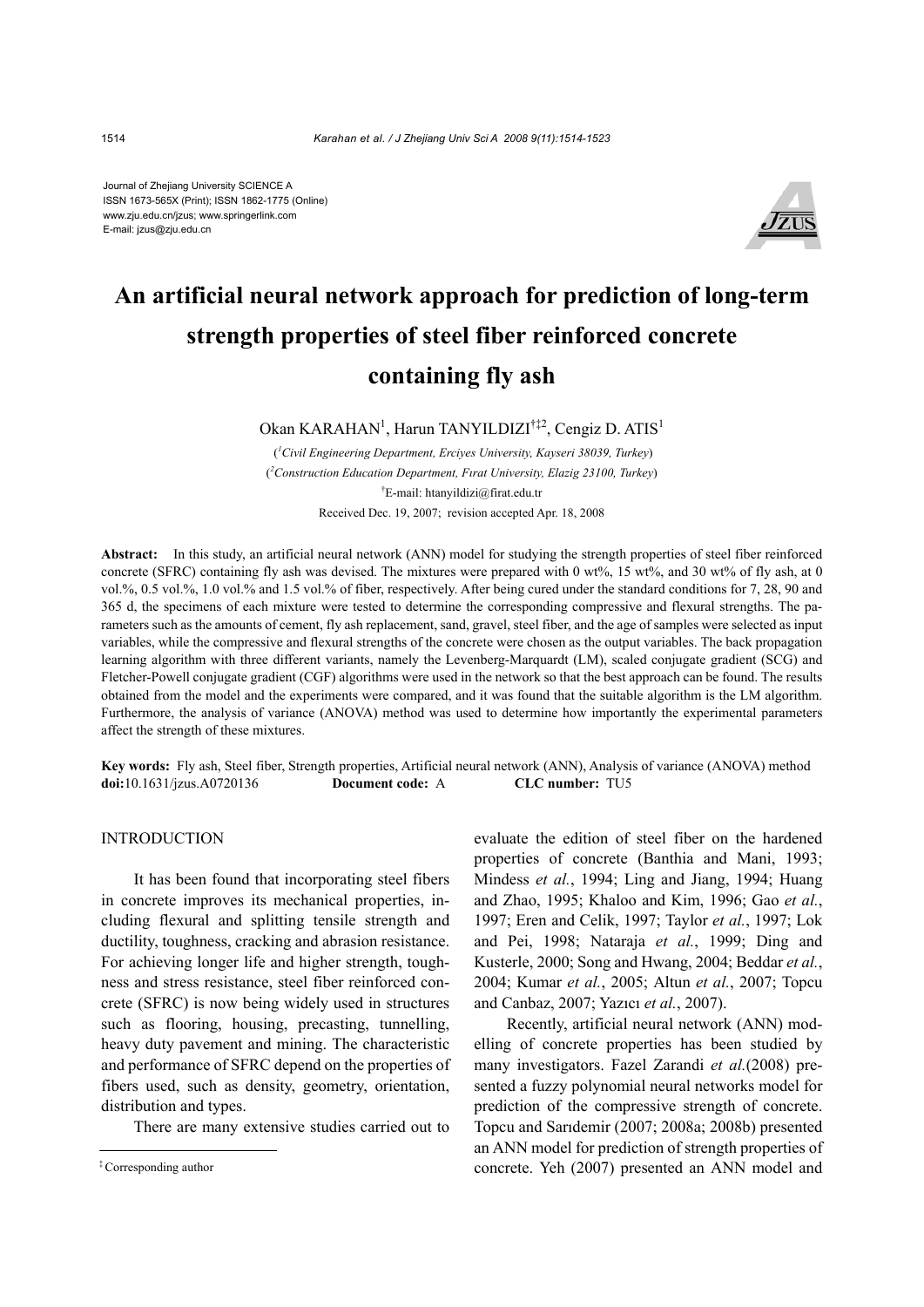Journal of Zhejiang University SCIENCE A ISSN 1673-565X (Print); ISSN 1862-1775 (Online) www.zju.edu.cn/jzus; www.springerlink.com E-mail: jzus@zju.edu.cn



# **An artificial neural network approach for prediction of long-term strength properties of steel fiber reinforced concrete containing fly ash**

Okan KARAHAN<sup>1</sup>, Harun TANYILDIZI<sup>†‡2</sup>, Cengiz D. ATIS<sup>1</sup>

 (*1 Civil Engineering Department, Erciyes University, Kayseri 38039, Turkey*) ( *2 Construction Education Department, Fırat University, Elazig 23100, Turkey*) † E-mail: htanyildizi@firat.edu.tr Received Dec. 19, 2007; revision accepted Apr. 18, 2008

**Abstract:** In this study, an artificial neural network (ANN) model for studying the strength properties of steel fiber reinforced concrete (SFRC) containing fly ash was devised. The mixtures were prepared with 0 wt%, 15 wt%, and 30 wt% of fly ash, at 0 vol.%, 0.5 vol.%, 1.0 vol.% and 1.5 vol.% of fiber, respectively. After being cured under the standard conditions for 7, 28, 90 and 365 d, the specimens of each mixture were tested to determine the corresponding compressive and flexural strengths. The parameters such as the amounts of cement, fly ash replacement, sand, gravel, steel fiber, and the age of samples were selected as input variables, while the compressive and flexural strengths of the concrete were chosen as the output variables. The back propagation learning algorithm with three different variants, namely the Levenberg-Marquardt (LM), scaled conjugate gradient (SCG) and Fletcher-Powell conjugate gradient (CGF) algorithms were used in the network so that the best approach can be found. The results obtained from the model and the experiments were compared, and it was found that the suitable algorithm is the LM algorithm. Furthermore, the analysis of variance (ANOVA) method was used to determine how importantly the experimental parameters affect the strength of these mixtures.

**Key words:** Fly ash, Steel fiber, Strength properties, Artificial neural network (ANN), Analysis of variance (ANOVA) method **doi:**10.1631/jzus.A0720136 **Document code:** A **CLC number:** TU5

INTRODUCTION

It has been found that incorporating steel fibers in concrete improves its mechanical properties, including flexural and splitting tensile strength and ductility, toughness, cracking and abrasion resistance. For achieving longer life and higher strength, toughness and stress resistance, steel fiber reinforced concrete (SFRC) is now being widely used in structures such as flooring, housing, precasting, tunnelling, heavy duty pavement and mining. The characteristic and performance of SFRC depend on the properties of fibers used, such as density, geometry, orientation, distribution and types.

There are many extensive studies carried out to

evaluate the edition of steel fiber on the hardened properties of concrete (Banthia and Mani, 1993; Mindess *et al.*, 1994; Ling and Jiang, 1994; Huang and Zhao, 1995; Khaloo and Kim, 1996; Gao *et al.*, 1997; Eren and Celik, 1997; Taylor *et al.*, 1997; Lok and Pei, 1998; Nataraja *et al.*, 1999; Ding and Kusterle, 2000; Song and Hwang, 2004; Beddar *et al.*, 2004; Kumar *et al.*, 2005; Altun *et al.*, 2007; Topcu and Canbaz, 2007; Yazıcı *et al.*, 2007).

Recently, artificial neural network (ANN) modelling of concrete properties has been studied by many investigators. Fazel Zarandi *et al.*(2008) presented a fuzzy polynomial neural networks model for prediction of the compressive strength of concrete. Topcu and Sarıdemir (2007; 2008a; 2008b) presented an ANN model for prediction of strength properties of concrete. Yeh (2007) presented an ANN model and

<sup>‡</sup> Corresponding author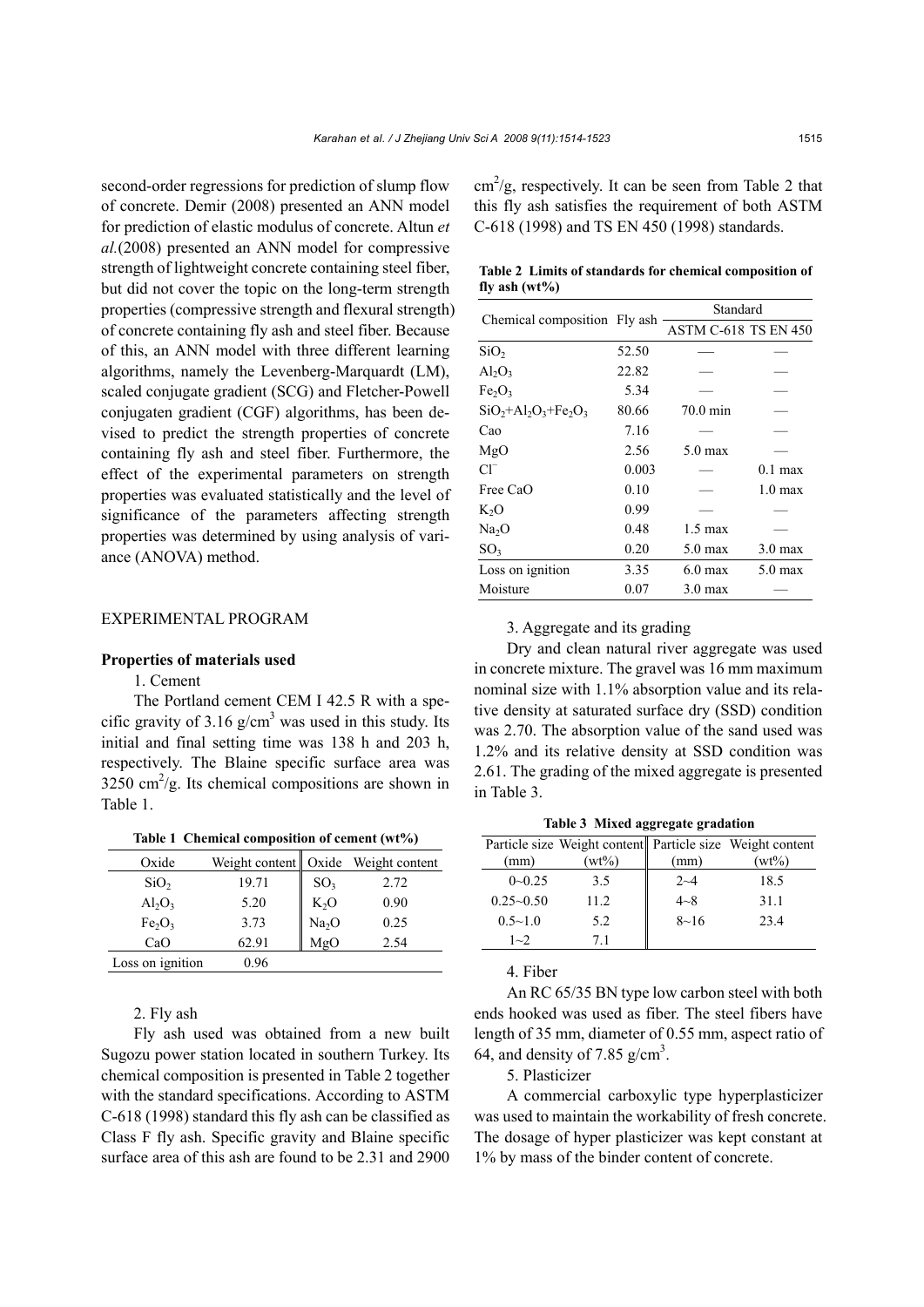second-order regressions for prediction of slump flow of concrete. Demir (2008) presented an ANN model for prediction of elastic modulus of concrete. Altun *et al.*(2008) presented an ANN model for compressive strength of lightweight concrete containing steel fiber, but did not cover the topic on the long-term strength properties (compressive strength and flexural strength) of concrete containing fly ash and steel fiber. Because of this, an ANN model with three different learning algorithms, namely the Levenberg-Marquardt (LM), scaled conjugate gradient (SCG) and Fletcher-Powell conjugaten gradient (CGF) algorithms, has been devised to predict the strength properties of concrete containing fly ash and steel fiber. Furthermore, the effect of the experimental parameters on strength properties was evaluated statistically and the level of significance of the parameters affecting strength properties was determined by using analysis of variance (ANOVA) method.

## EXPERIMENTAL PROGRAM

#### **Properties of materials used**

## 1. Cement

The Portland cement CEM I 42.5 R with a specific gravity of 3.16  $g/cm<sup>3</sup>$  was used in this study. Its initial and final setting time was 138 h and 203 h, respectively. The Blaine specific surface area was  $3250 \text{ cm}^2/\text{g}$ . Its chemical compositions are shown in Table 1.

| Table 1 Chemical composition of cement (wt%) |                                      |  |  |  |  |  |
|----------------------------------------------|--------------------------------------|--|--|--|--|--|
| Oxide                                        | Weight content   Oxide Weight conten |  |  |  |  |  |

| Oxide                          |       |                   | Weight content   Oxide Weight content |
|--------------------------------|-------|-------------------|---------------------------------------|
| SiO <sub>2</sub>               | 19.71 | SO <sub>3</sub>   | 2.72                                  |
| $Al_2O_3$                      | 5.20  | $K_2O$            | 0.90                                  |
| Fe <sub>2</sub> O <sub>3</sub> | 3.73  | Na <sub>2</sub> O | 0.25                                  |
| CaO                            | 62.91 | MgO               | 2.54                                  |
| Loss on ignition               | 0.96  |                   |                                       |

2. Fly ash

Fly ash used was obtained from a new built Sugozu power station located in southern Turkey. Its chemical composition is presented in Table 2 together with the standard specifications. According to ASTM C-618 (1998) standard this fly ash can be classified as Class F fly ash. Specific gravity and Blaine specific surface area of this ash are found to be 2.31 and 2900

 $\text{cm}^2/\text{g}$ , respectively. It can be seen from Table 2 that this fly ash satisfies the requirement of both ASTM C-618 (1998) and TS EN 450 (1998) standards.

**Table 2 Limits of standards for chemical composition of fly ash (wt%)** 

|                                |       | Standard                    |                   |  |
|--------------------------------|-------|-----------------------------|-------------------|--|
| Chemical composition Fly ash   |       | <b>ASTM C-618 TS EN 450</b> |                   |  |
| SiO <sub>2</sub>               | 52.50 |                             |                   |  |
| $Al_2O_3$                      | 22.82 |                             |                   |  |
| Fe <sub>2</sub> O <sub>3</sub> | 5.34  |                             |                   |  |
| $SiO2+Al2O3+Fe2O3$             | 80.66 | $70.0$ min                  |                   |  |
| Cao                            | 7.16  |                             |                   |  |
| MgO                            | 2.56  | $5.0$ max                   |                   |  |
| $Cl^{-}$                       | 0.003 |                             | $0.1$ max         |  |
| Free CaO                       | 0.10  |                             | $1.0 \text{ max}$ |  |
| $K_2O$                         | 0.99  |                             |                   |  |
| Na <sub>2</sub> O              | 0.48  | $1.5 \text{ max}$           |                   |  |
| SO <sub>3</sub>                | 0.20  | $5.0$ max                   | $3.0 \text{ max}$ |  |
| Loss on ignition               | 3.35  | $6.0$ max                   | $5.0$ max         |  |
| Moisture                       | 0.07  | $3.0 \text{ max}$           |                   |  |

# 3. Aggregate and its grading

Dry and clean natural river aggregate was used in concrete mixture. The gravel was 16 mm maximum nominal size with 1.1% absorption value and its relative density at saturated surface dry (SSD) condition was 2.70. The absorption value of the sand used was 1.2% and its relative density at SSD condition was 2.61. The grading of the mixed aggregate is presented in Table 3.

**Table 3 Mixed aggregate gradation** 

|               |          |          | Particle size Weight content Particle size Weight content |
|---------------|----------|----------|-----------------------------------------------------------|
| (mm)          | $(wt\%)$ | (mm)     | $(wt\%)$                                                  |
| $0 - 0.25$    | 3.5      | $2 - 4$  | 18.5                                                      |
| $0.25 - 0.50$ | 112      | $4 - 8$  | 31.1                                                      |
| $0.5 - 1.0$   | 5.2      | $8 - 16$ | 23.4                                                      |
| $1 - 2$       | 71       |          |                                                           |

4. Fiber

An RC 65/35 BN type low carbon steel with both ends hooked was used as fiber. The steel fibers have length of 35 mm, diameter of 0.55 mm, aspect ratio of 64, and density of 7.85  $g/cm<sup>3</sup>$ .

5. Plasticizer

A commercial carboxylic type hyperplasticizer was used to maintain the workability of fresh concrete. The dosage of hyper plasticizer was kept constant at 1% by mass of the binder content of concrete.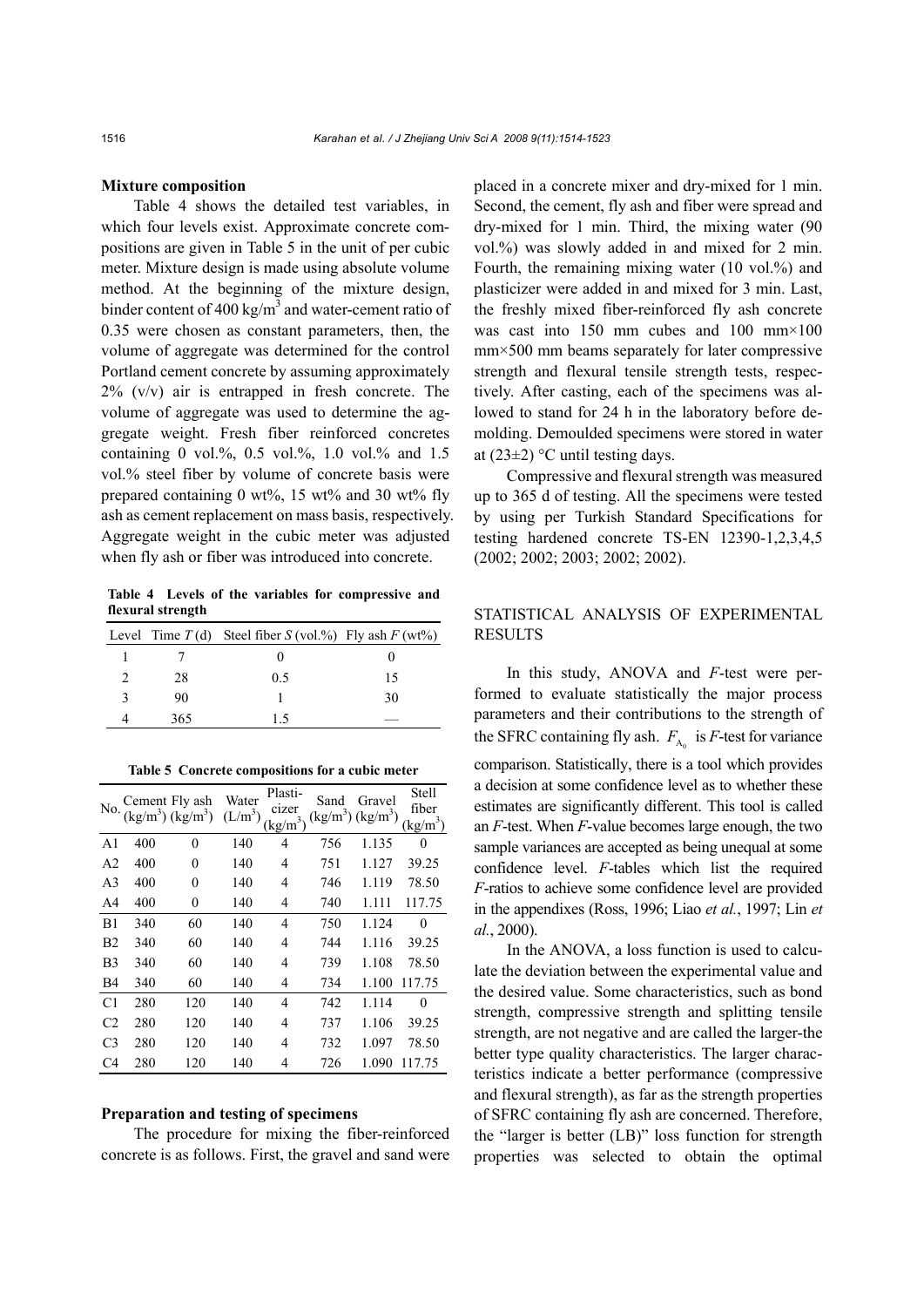#### **Mixture composition**

Table 4 shows the detailed test variables, in which four levels exist. Approximate concrete compositions are given in Table 5 in the unit of per cubic meter. Mixture design is made using absolute volume method. At the beginning of the mixture design, binder content of 400 kg/m<sup>3</sup> and water-cement ratio of 0.35 were chosen as constant parameters, then, the volume of aggregate was determined for the control Portland cement concrete by assuming approximately  $2\%$  (v/v) air is entrapped in fresh concrete. The volume of aggregate was used to determine the aggregate weight. Fresh fiber reinforced concretes containing 0 vol.%, 0.5 vol.%, 1.0 vol.% and 1.5 vol.% steel fiber by volume of concrete basis were prepared containing  $0 \text{ wt\%}$ ,  $15 \text{ wt\%}$  and  $30 \text{ wt\%}$  fly ash as cement replacement on mass basis, respectively. Aggregate weight in the cubic meter was adjusted when fly ash or fiber was introduced into concrete.

**Table 4 Levels of the variables for compressive and flexural strength**

|     | Level Time $T(d)$ Steel fiber $S(vol.%)$ Fly ash $F(wt%)$ |    |
|-----|-----------------------------------------------------------|----|
|     |                                                           |    |
| 28  | 05                                                        | 15 |
| 90  |                                                           | 30 |
| 365 |                                                           |    |

| Table 5 Concrete compositions for a cubic meter |  |  |
|-------------------------------------------------|--|--|
|                                                 |  |  |

| No.            | Cement Fly ash $(kg/m3) (kg/m3)$ |          | Water<br>$(L/m^3)$ | Plasti-<br>cizer<br>$\frac{\text{kg}}{\text{m}^3}$ | Sand<br>$(kg/m^3)$ $(kg/m^3)$ | Gravel | <b>Stell</b><br>fiber<br>(kg/m) |
|----------------|----------------------------------|----------|--------------------|----------------------------------------------------|-------------------------------|--------|---------------------------------|
| A <sub>1</sub> | 400                              | $\theta$ | 140                | 4                                                  | 756                           | 1.135  | 0                               |
| A2             | 400                              | 0        | 140                | 4                                                  | 751                           | 1.127  | 39.25                           |
| A3             | 400                              | $\theta$ | 140                | 4                                                  | 746                           | 1.119  | 78.50                           |
| A4             | 400                              | 0        | 140                | 4                                                  | 740                           | 1.111  | 117.75                          |
| B1             | 340                              | 60       | 140                | $\overline{4}$                                     | 750                           | 1.124  | 0                               |
| B2             | 340                              | 60       | 140                | 4                                                  | 744                           | 1.116  | 39.25                           |
| B3             | 340                              | 60       | 140                | 4                                                  | 739                           | 1.108  | 78.50                           |
| B4             | 340                              | 60       | 140                | 4                                                  | 734                           | 1.100  | 117.75                          |
| C <sub>1</sub> | 280                              | 120      | 140                | $\overline{4}$                                     | 742                           | 1.114  | $\theta$                        |
| C <sub>2</sub> | 280                              | 120      | 140                | 4                                                  | 737                           | 1.106  | 39.25                           |
| C <sub>3</sub> | 280                              | 120      | 140                | 4                                                  | 732                           | 1.097  | 78.50                           |
| C4             | 280                              | 120      | 140                | 4                                                  | 726                           | 1.090  | 117.75                          |

## **Preparation and testing of specimens**

The procedure for mixing the fiber-reinforced concrete is as follows. First, the gravel and sand were placed in a concrete mixer and dry-mixed for 1 min. Second, the cement, fly ash and fiber were spread and dry-mixed for 1 min. Third, the mixing water (90 vol.%) was slowly added in and mixed for 2 min. Fourth, the remaining mixing water (10 vol.%) and plasticizer were added in and mixed for 3 min. Last, the freshly mixed fiber-reinforced fly ash concrete was cast into 150 mm cubes and 100 mm×100 mm×500 mm beams separately for later compressive strength and flexural tensile strength tests, respectively. After casting, each of the specimens was allowed to stand for 24 h in the laboratory before demolding. Demoulded specimens were stored in water at  $(23\pm2)$  °C until testing days.

Compressive and flexural strength was measured up to 365 d of testing. All the specimens were tested by using per Turkish Standard Specifications for testing hardened concrete TS-EN 12390-1,2,3,4,5 (2002; 2002; 2003; 2002; 2002).

# STATISTICAL ANALYSIS OF EXPERIMENTAL RESULTS

In this study, ANOVA and *F*-test were performed to evaluate statistically the major process parameters and their contributions to the strength of the SFRC containing fly ash.  $F_{A_0}$  is *F*-test for variance comparison. Statistically, there is a tool which provides a decision at some confidence level as to whether these estimates are significantly different. This tool is called an *F*-test. When *F*-value becomes large enough, the two sample variances are accepted as being unequal at some confidence level. *F*-tables which list the required *F*-ratios to achieve some confidence level are provided in the appendixes (Ross, 1996; Liao *et al.*, 1997; Lin *et al.*, 2000).

In the ANOVA, a loss function is used to calculate the deviation between the experimental value and the desired value. Some characteristics, such as bond strength, compressive strength and splitting tensile strength, are not negative and are called the larger-the better type quality characteristics. The larger characteristics indicate a better performance (compressive and flexural strength), as far as the strength properties of SFRC containing fly ash are concerned. Therefore, the "larger is better (LB)" loss function for strength properties was selected to obtain the optimal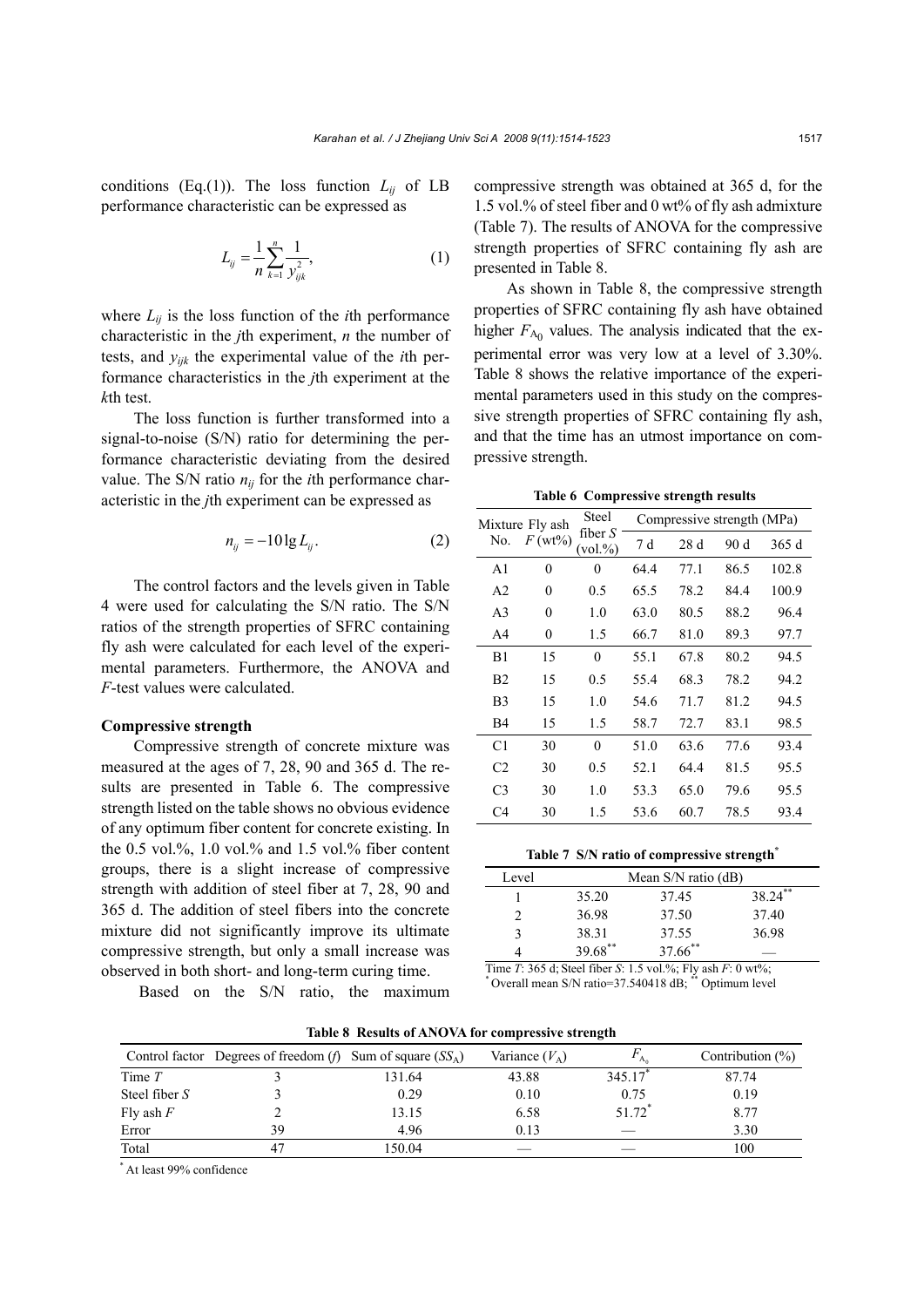conditions (Eq.(1)). The loss function  $L_{ij}$  of LB performance characteristic can be expressed as

$$
L_{ij} = \frac{1}{n} \sum_{k=1}^{n} \frac{1}{y_{ijk}^2},
$$
 (1)

where  $L_{ii}$  is the loss function of the *i*th performance characteristic in the *j*th experiment, *n* the number of tests, and *yijk* the experimental value of the *i*th performance characteristics in the *j*th experiment at the *k*th test.

The loss function is further transformed into a signal-to-noise (S/N) ratio for determining the performance characteristic deviating from the desired value. The S/N ratio  $n_{ij}$  for the *i*th performance characteristic in the *j*th experiment can be expressed as

$$
n_{ij} = -10 \lg L_{ij}.\tag{2}
$$

The control factors and the levels given in Table 4 were used for calculating the S/N ratio. The S/N ratios of the strength properties of SFRC containing fly ash were calculated for each level of the experimental parameters. Furthermore, the ANOVA and *F*-test values were calculated.

#### **Compressive strength**

Compressive strength of concrete mixture was measured at the ages of 7, 28, 90 and 365 d. The results are presented in Table 6. The compressive strength listed on the table shows no obvious evidence of any optimum fiber content for concrete existing. In the 0.5 vol.%, 1.0 vol.% and 1.5 vol.% fiber content groups, there is a slight increase of compressive strength with addition of steel fiber at 7, 28, 90 and 365 d. The addition of steel fibers into the concrete mixture did not significantly improve its ultimate compressive strength, but only a small increase was observed in both short- and long-term curing time.

Based on the S/N ratio, the maximum

compressive strength was obtained at 365 d, for the 1.5 vol.% of steel fiber and 0 wt% of fly ash admixture (Table 7). The results of ANOVA for the compressive strength properties of SFRC containing fly ash are presented in Table 8.

As shown in Table 8, the compressive strength properties of SFRC containing fly ash have obtained higher  $F_{A_0}$  values. The analysis indicated that the experimental error was very low at a level of 3.30%. Table 8 shows the relative importance of the experimental parameters used in this study on the compressive strength properties of SFRC containing fly ash, and that the time has an utmost importance on compressive strength.

**Table 6 Compressive strength results** 

| Mixture Fly ash |           | Steel                     |      | Compressive strength (MPa) |      |       |
|-----------------|-----------|---------------------------|------|----------------------------|------|-------|
| No.             | $F(wt\%)$ | fiber $S$<br>$(vol. \% )$ | 7 d  | 28d                        | 90 d | 365d  |
| A <sub>1</sub>  | 0         | $\theta$                  | 64.4 | 77.1                       | 86.5 | 102.8 |
| A <sub>2</sub>  | 0         | 0.5                       | 65.5 | 78.2                       | 84.4 | 100.9 |
| A <sub>3</sub>  | 0         | 1.0                       | 63.0 | 80.5                       | 88.2 | 96.4  |
| A4              | 0         | 1.5                       | 66.7 | 81.0                       | 89.3 | 97.7  |
| B1              | 15        | $\theta$                  | 55.1 | 67.8                       | 80.2 | 94.5  |
| B <sub>2</sub>  | 15        | 0.5                       | 55.4 | 68.3                       | 78.2 | 94.2  |
| B3              | 15        | 1.0                       | 54.6 | 71.7                       | 81.2 | 94.5  |
| B4              | 15        | 1.5                       | 58.7 | 72.7                       | 83.1 | 98.5  |
| C1              | 30        | $\theta$                  | 51.0 | 63.6                       | 77.6 | 93.4  |
| C <sub>2</sub>  | 30        | 0.5                       | 52.1 | 64.4                       | 81.5 | 95.5  |
| C <sub>3</sub>  | 30        | 1.0                       | 53.3 | 65.0                       | 79.6 | 95.5  |
| C4              | 30        | 1.5                       | 53.6 | 60.7                       | 78.5 | 93.4  |

#### **Table 7 S/N ratio of compressive strength\***

| Level |         | Mean $S/N$ ratio (dB) |         |
|-------|---------|-----------------------|---------|
|       | 35.20   | 37.45                 | 38.24** |
|       | 36.98   | 37.50                 | 37.40   |
|       | 38.31   | 37.55                 | 36.98   |
|       | 39.68** | 37.66**               |         |

Time *T*: 365 d; Steel fiber *S*: 1.5 vol.%; Fly ash *F*: 0 wt%; \* Overall mean S/N ratio=37.540418 dB; \*\* Optimum level

|                 | Control factor Degrees of freedom (f) Sum of square $(SS_A)$ |        | Variance $(V_A)$ | $A_0$  | Contribution $(\%)$ |
|-----------------|--------------------------------------------------------------|--------|------------------|--------|---------------------|
| Time $T$        |                                                              | 131.64 | 43.88            | 345.17 | 87.74               |
| Steel fiber $S$ |                                                              | 0.29   | 0.10             | 0.75   | 0.19                |
| Fly ash $F$     |                                                              | 13.15  | 6.58             | 51.72* | 8.77                |
| Error           | 39                                                           | 4.96   | 0.13             |        | 3.30                |
| Total           |                                                              | 150.04 |                  |        | 100                 |
|                 |                                                              |        |                  |        |                     |

**Table 8 Results of ANOVA for compressive strength**

\* At least 99% confidence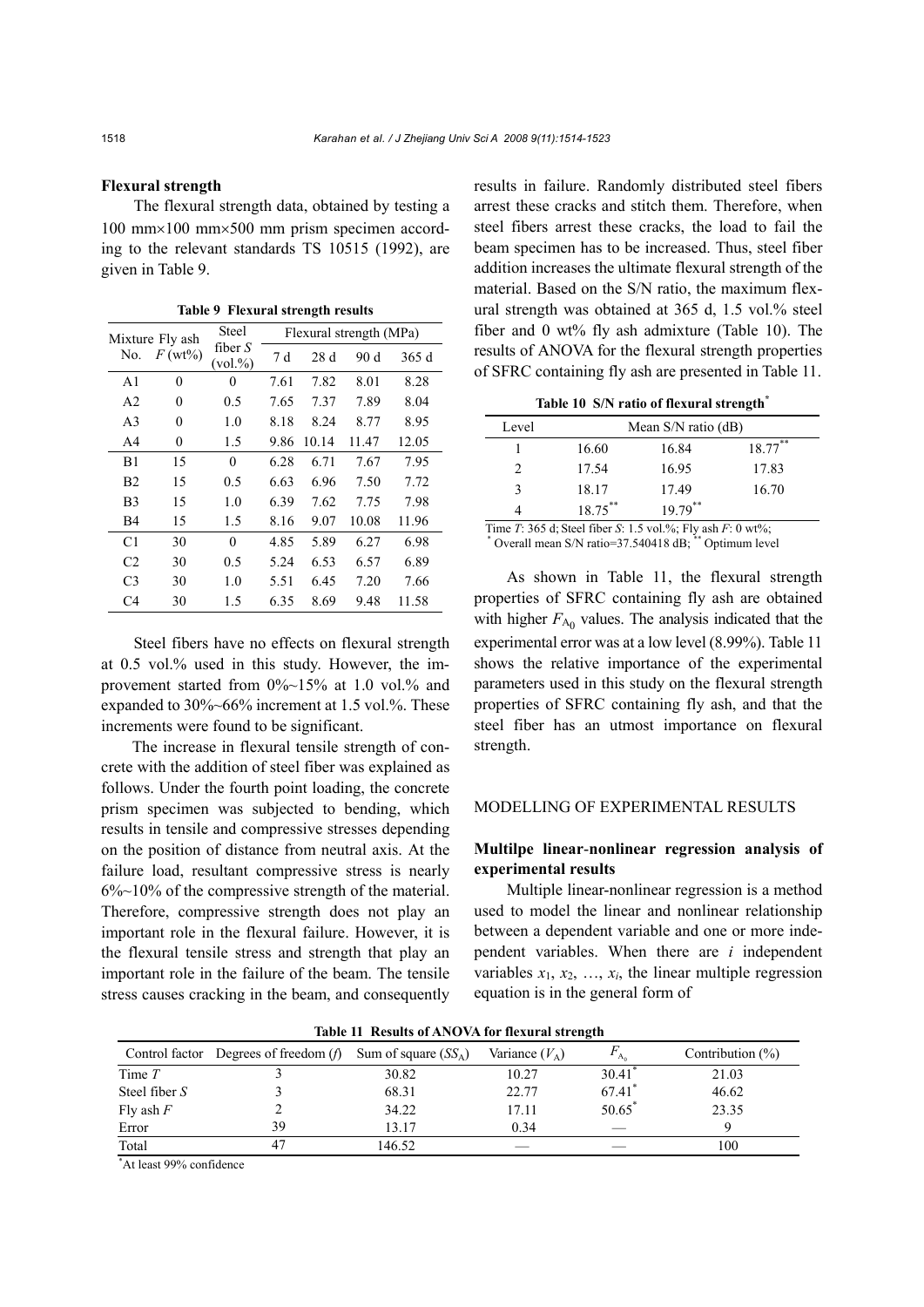#### **Flexural strength**

The flexural strength data, obtained by testing a 100 mm×100 mm×500 mm prism specimen according to the relevant standards TS 10515 (1992), are given in Table 9.

|                | Mixture Fly ash  | <b>Steel</b>              |      |       | Flexural strength (MPa) |       |
|----------------|------------------|---------------------------|------|-------|-------------------------|-------|
| No.            | $F(wt\%)$        | fiber $S$<br>$(vol. \% )$ | 7 d  | 28d   | 90 d                    | 365d  |
| A <sub>1</sub> | $\theta$         | $\theta$                  | 7.61 | 7.82  | 8.01                    | 8.28  |
| A <sub>2</sub> | $\boldsymbol{0}$ | 0.5                       | 7.65 | 7.37  | 7.89                    | 8.04  |
| A <sub>3</sub> | $\theta$         | 1.0                       | 8.18 | 8.24  | 8.77                    | 8.95  |
| A <sub>4</sub> | $\boldsymbol{0}$ | 1.5                       | 9.86 | 10.14 | 11.47                   | 12.05 |
| B1             | 15               | $\theta$                  | 6.28 | 6.71  | 7.67                    | 7.95  |
| B <sub>2</sub> | 15               | 0.5                       | 6.63 | 6.96  | 7.50                    | 7.72  |
| B <sub>3</sub> | 15               | 1.0                       | 6.39 | 7.62  | 7.75                    | 7.98  |
| B4             | 15               | 1.5                       | 8.16 | 9.07  | 10.08                   | 11.96 |
| C1             | 30               | $\theta$                  | 4.85 | 5.89  | 6.27                    | 6.98  |
| C <sub>2</sub> | 30               | 0.5                       | 5.24 | 6.53  | 6.57                    | 6.89  |
| C <sub>3</sub> | 30               | 1.0                       | 5.51 | 6.45  | 7.20                    | 7.66  |
| C4             | 30               | 1.5                       | 6.35 | 8.69  | 9.48                    | 11.58 |

**Table 9 Flexural strength results** 

Steel fibers have no effects on flexural strength at 0.5 vol.% used in this study. However, the improvement started from 0%~15% at 1.0 vol.% and expanded to 30%~66% increment at 1.5 vol.%. These increments were found to be significant.

The increase in flexural tensile strength of concrete with the addition of steel fiber was explained as follows. Under the fourth point loading, the concrete prism specimen was subjected to bending, which results in tensile and compressive stresses depending on the position of distance from neutral axis. At the failure load, resultant compressive stress is nearly 6%~10% of the compressive strength of the material. Therefore, compressive strength does not play an important role in the flexural failure. However, it is the flexural tensile stress and strength that play an important role in the failure of the beam. The tensile stress causes cracking in the beam, and consequently

results in failure. Randomly distributed steel fibers arrest these cracks and stitch them. Therefore, when steel fibers arrest these cracks, the load to fail the beam specimen has to be increased. Thus, steel fiber addition increases the ultimate flexural strength of the material. Based on the S/N ratio, the maximum flexural strength was obtained at 365 d, 1.5 vol.% steel fiber and 0 wt% fly ash admixture (Table 10). The results of ANOVA for the flexural strength properties of SFRC containing fly ash are presented in Table 11.

Table 10 S/N ratio of flexural strength<sup>\*</sup>

| Level |         | Mean S/N ratio (dB) |            |
|-------|---------|---------------------|------------|
|       | 16.60   | 16.84               | $18.77***$ |
| 2     | 17.54   | 16.95               | 17.83      |
| 3     | 18.17   | 17.49               | 16.70      |
|       | 18.75** | $19.79***$          |            |

Time *T*: 365 d; Steel fiber *S*: 1.5 vol.%; Fly ash *F*: 0 wt%; \* Overall mean S/N ratio=37.540418 dB; \*\* Optimum level

As shown in Table 11, the flexural strength properties of SFRC containing fly ash are obtained with higher  $F_{A_0}$  values. The analysis indicated that the experimental error was at a low level (8.99%). Table 11 shows the relative importance of the experimental parameters used in this study on the flexural strength properties of SFRC containing fly ash, and that the steel fiber has an utmost importance on flexural strength.

# MODELLING OF EXPERIMENTAL RESULTS

# **Multilpe linear**-**nonlinear regression analysis of experimental results**

Multiple linear-nonlinear regression is a method used to model the linear and nonlinear relationship between a dependent variable and one or more independent variables. When there are *i* independent variables  $x_1, x_2, \ldots, x_i$ , the linear multiple regression equation is in the general form of

| Table 11 Results 01/11/0 //11/101 Heath at strength |                                                                       |        |                  |                      |                     |  |  |  |
|-----------------------------------------------------|-----------------------------------------------------------------------|--------|------------------|----------------------|---------------------|--|--|--|
|                                                     | Control factor Degrees of freedom ( <i>f</i> ) Sum of square $(SS_A)$ |        | Variance $(V_A)$ |                      | Contribution $(\%)$ |  |  |  |
| Time $T$                                            |                                                                       | 30.82  | 10.27            | $30.41$ <sup>*</sup> | 21.03               |  |  |  |
| Steel fiber S                                       |                                                                       | 68.31  | 22.77            | 67.41                | 46.62               |  |  |  |
| Fly ash $F$                                         |                                                                       | 34.22  | 17.11            | $50.65^*$            | 23.35               |  |  |  |
| Error                                               | 39                                                                    | 13.17  | 0.34             |                      |                     |  |  |  |
| Total                                               |                                                                       | 146.52 |                  |                      | 100                 |  |  |  |
| $A + \frac{1}{2}$                                   |                                                                       |        |                  |                      |                     |  |  |  |

**Table 11 Results of ANOVA for flexural strength** 

\*At least 99% confidence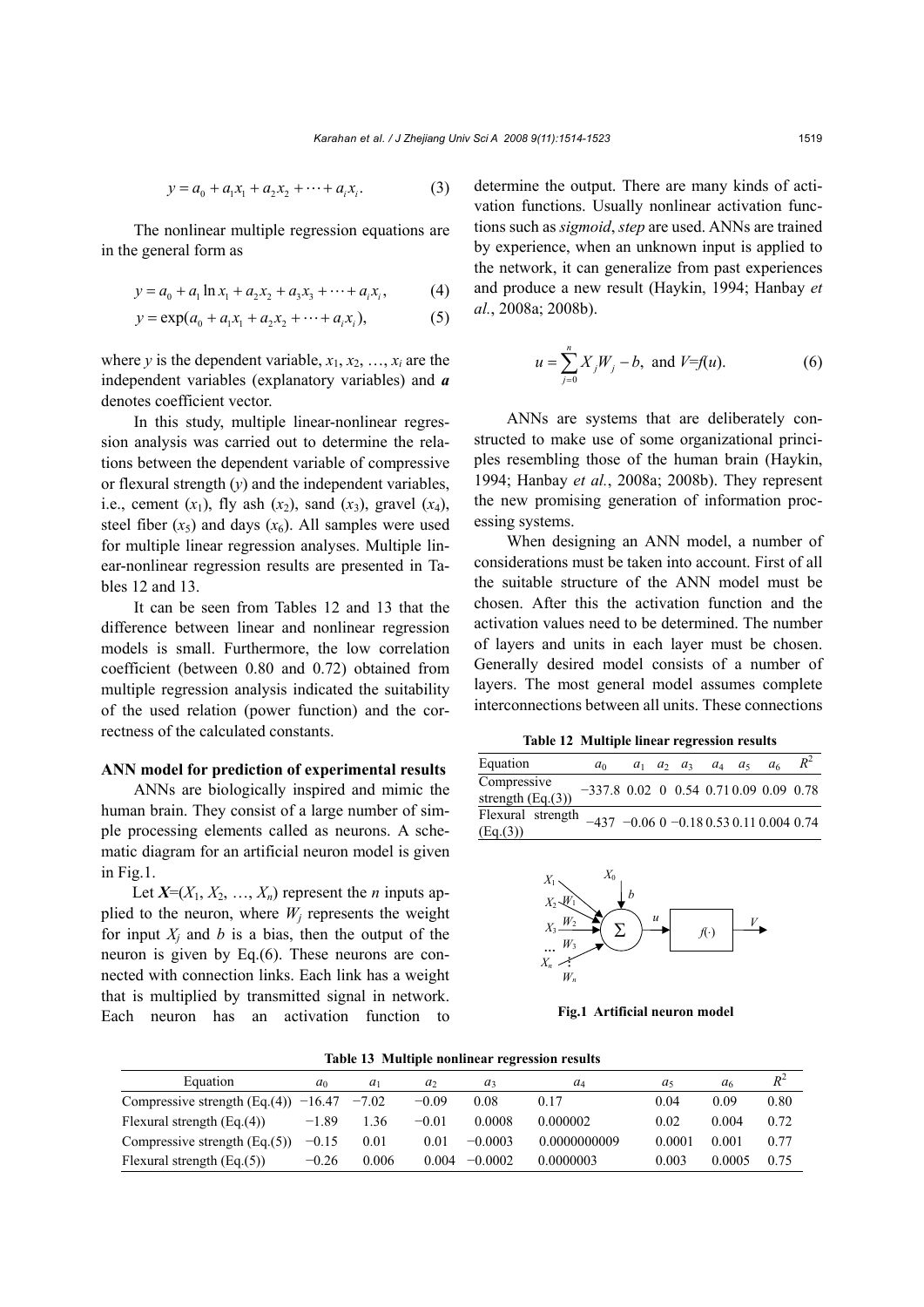$$
y = a_0 + a_1 x_1 + a_2 x_2 + \dots + a_i x_i.
$$
 (3)

The nonlinear multiple regression equations are in the general form as

$$
y = a_0 + a_1 \ln x_1 + a_2 x_2 + a_3 x_3 + \dots + a_i x_i, \tag{4}
$$

$$
y = \exp(a_0 + a_1x_1 + a_2x_2 + \dots + a_ix_i),
$$
 (5)

where *y* is the dependent variable,  $x_1, x_2, ..., x_i$  are the independent variables (explanatory variables) and *a* denotes coefficient vector.

In this study, multiple linear-nonlinear regression analysis was carried out to determine the relations between the dependent variable of compressive or flexural strength (*y*) and the independent variables, i.e., cement  $(x_1)$ , fly ash  $(x_2)$ , sand  $(x_3)$ , gravel  $(x_4)$ , steel fiber  $(x_5)$  and days  $(x_6)$ . All samples were used for multiple linear regression analyses. Multiple linear-nonlinear regression results are presented in Tables 12 and 13.

It can be seen from Tables 12 and 13 that the difference between linear and nonlinear regression models is small. Furthermore, the low correlation coefficient (between 0.80 and 0.72) obtained from multiple regression analysis indicated the suitability of the used relation (power function) and the correctness of the calculated constants.

### **ANN model for prediction of experimental results**

ANNs are biologically inspired and mimic the human brain. They consist of a large number of simple processing elements called as neurons. A schematic diagram for an artificial neuron model is given in Fig.1.

Let  $X=(X_1, X_2, ..., X_n)$  represent the *n* inputs applied to the neuron, where  $W_i$  represents the weight for input  $X_i$  and  $b$  is a bias, then the output of the neuron is given by Eq.(6). These neurons are connected with connection links. Each link has a weight that is multiplied by transmitted signal in network. Each neuron has an activation function to determine the output. There are many kinds of activation functions. Usually nonlinear activation functions such as *sigmoid*, *step* are used. ANNs are trained by experience, when an unknown input is applied to the network, it can generalize from past experiences and produce a new result (Haykin, 1994; Hanbay *et al.*, 2008a; 2008b).

$$
u = \sum_{j=0}^{n} X_j W_j - b, \text{ and } V = f(u). \tag{6}
$$

ANNs are systems that are deliberately constructed to make use of some organizational principles resembling those of the human brain (Haykin, 1994; Hanbay *et al.*, 2008a; 2008b). They represent the new promising generation of information processing systems.

When designing an ANN model, a number of considerations must be taken into account. First of all the suitable structure of the ANN model must be chosen. After this the activation function and the activation values need to be determined. The number of layers and units in each layer must be chosen. Generally desired model consists of a number of layers. The most general model assumes complete interconnections between all units. These connections

**Table 12 Multiple linear regression results**

| Equation                                                           | $a_0$                                    |  | $a_1$ $a_2$ $a_3$ $a_4$ $a_5$ |  | a <sub>6</sub> | $R^2$ |
|--------------------------------------------------------------------|------------------------------------------|--|-------------------------------|--|----------------|-------|
| Compressive<br>strength $(Eq.(3))$                                 | $-337.8$ 0.02 0 0.54 0.71 0.09 0.09 0.78 |  |                               |  |                |       |
| Flexural strength $-437 -0.060 -0.180.530.110.0040.74$<br>(Eq.(3)) |                                          |  |                               |  |                |       |



**Fig.1 Artificial neuron model**

|  | Table 13 Multiple nonlinear regression results |  |
|--|------------------------------------------------|--|
|  |                                                |  |

| Equation                               | $a_0$   | $a_1$   | a,      | $a_3$     | $a_4$        | $a_{5}$ | a <sub>6</sub> |      |
|----------------------------------------|---------|---------|---------|-----------|--------------|---------|----------------|------|
| Compressive strength $(Eq.(4))$ -16.47 |         | $-7.02$ | $-0.09$ | 0.08      | 0.17         | 0.04    | 0.09           | 0.80 |
| Flexural strength $(Eq.(4))$           | $-1.89$ | -36     | $-0.01$ | 0.0008    | 0.000002     | 0.02    | 0.004          | 0.72 |
| Compressive strength $(Eq.(5))$        | $-0.15$ | 0.01    | 0.01    | $-0.0003$ | 0.0000000009 | 0.0001  | 0.001          | 0.77 |
| Flexural strength $(Eq.(5))$           | $-0.26$ | 0.006   | 0.004   | $-0.0002$ | 0.0000003    | 0.003   | 0.0005         | 0.75 |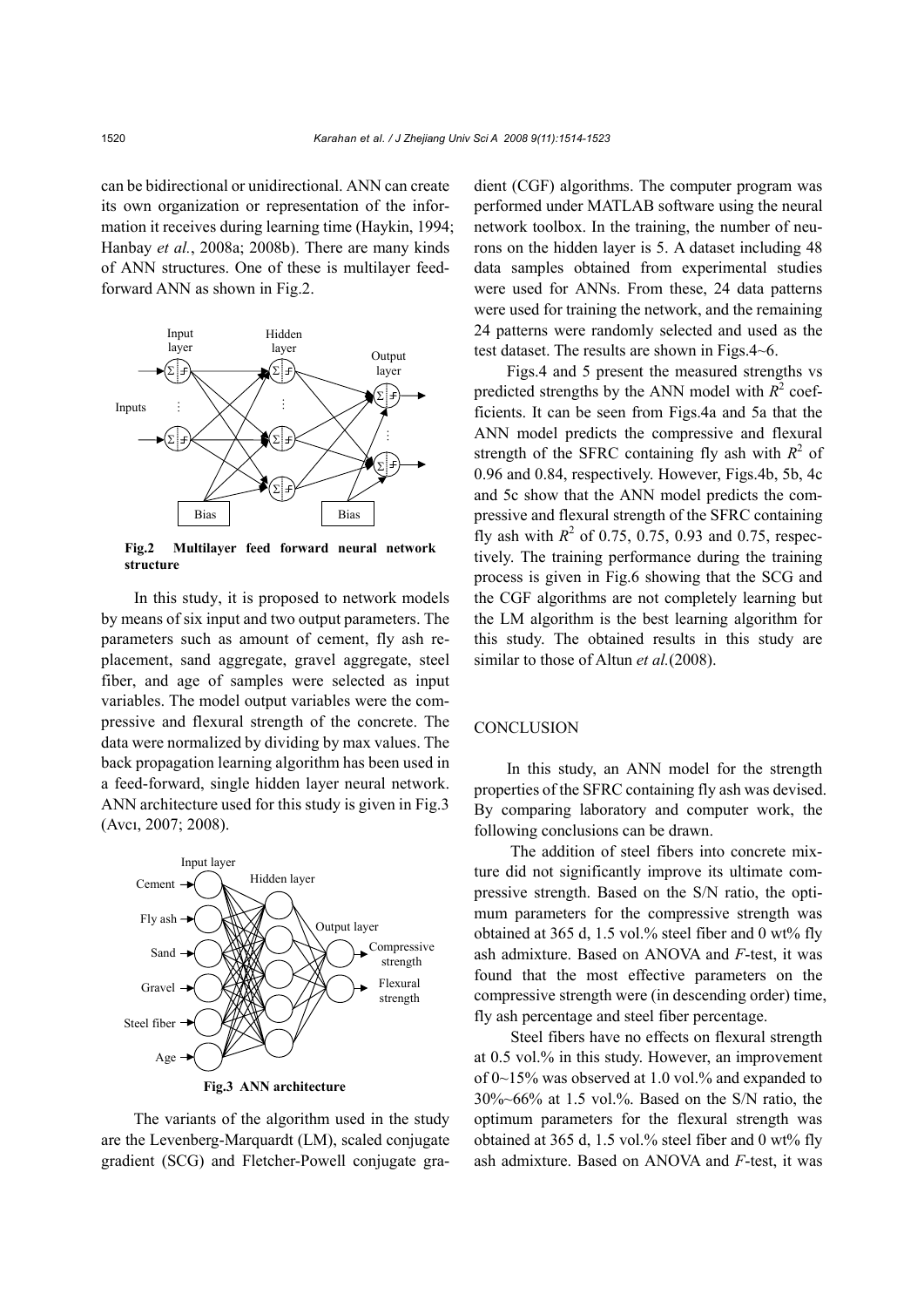can be bidirectional or unidirectional. ANN can create its own organization or representation of the information it receives during learning time (Haykin, 1994; Hanbay *et al.*, 2008a; 2008b). There are many kinds of ANN structures. One of these is multilayer feedforward ANN as shown in Fig.2.



**Fig.2 Multilayer feed forward neural network structure**

In this study, it is proposed to network models by means of six input and two output parameters. The parameters such as amount of cement, fly ash replacement, sand aggregate, gravel aggregate, steel fiber, and age of samples were selected as input variables. The model output variables were the compressive and flexural strength of the concrete. The data were normalized by dividing by max values. The back propagation learning algorithm has been used in a feed-forward, single hidden layer neural network. ANN architecture used for this study is given in Fig.3 (Avcı, 2007; 2008).



The variants of the algorithm used in the study are the Levenberg-Marquardt (LM), scaled conjugate gradient (SCG) and Fletcher-Powell conjugate gra-

dient (CGF) algorithms. The computer program was performed under MATLAB software using the neural network toolbox. In the training, the number of neurons on the hidden layer is 5. A dataset including 48 data samples obtained from experimental studies were used for ANNs. From these, 24 data patterns were used for training the network, and the remaining 24 patterns were randomly selected and used as the test dataset. The results are shown in Figs.4~6.

Figs.4 and 5 present the measured strengths vs predicted strengths by the ANN model with  $R^2$  coefficients. It can be seen from Figs.4a and 5a that the ANN model predicts the compressive and flexural strength of the SFRC containing fly ash with  $R^2$  of 0.96 and 0.84, respectively. However, Figs.4b, 5b, 4c and 5c show that the ANN model predicts the compressive and flexural strength of the SFRC containing fly ash with  $R^2$  of 0.75, 0.75, 0.93 and 0.75, respectively. The training performance during the training process is given in Fig.6 showing that the SCG and the CGF algorithms are not completely learning but the LM algorithm is the best learning algorithm for this study. The obtained results in this study are similar to those of Altun *et al.*(2008).

## **CONCLUSION**

In this study, an ANN model for the strength properties of the SFRC containing fly ash was devised. By comparing laboratory and computer work, the following conclusions can be drawn.

 The addition of steel fibers into concrete mixture did not significantly improve its ultimate compressive strength. Based on the S/N ratio, the optimum parameters for the compressive strength was obtained at 365 d, 1.5 vol.% steel fiber and 0 wt% fly ash admixture. Based on ANOVA and *F*-test, it was found that the most effective parameters on the compressive strength were (in descending order) time, fly ash percentage and steel fiber percentage.

 Steel fibers have no effects on flexural strength at 0.5 vol.% in this study. However, an improvement of 0~15% was observed at 1.0 vol.% and expanded to 30%~66% at 1.5 vol.%. Based on the S/N ratio, the optimum parameters for the flexural strength was obtained at 365 d, 1.5 vol.% steel fiber and 0 wt% fly ash admixture. Based on ANOVA and *F*-test, it was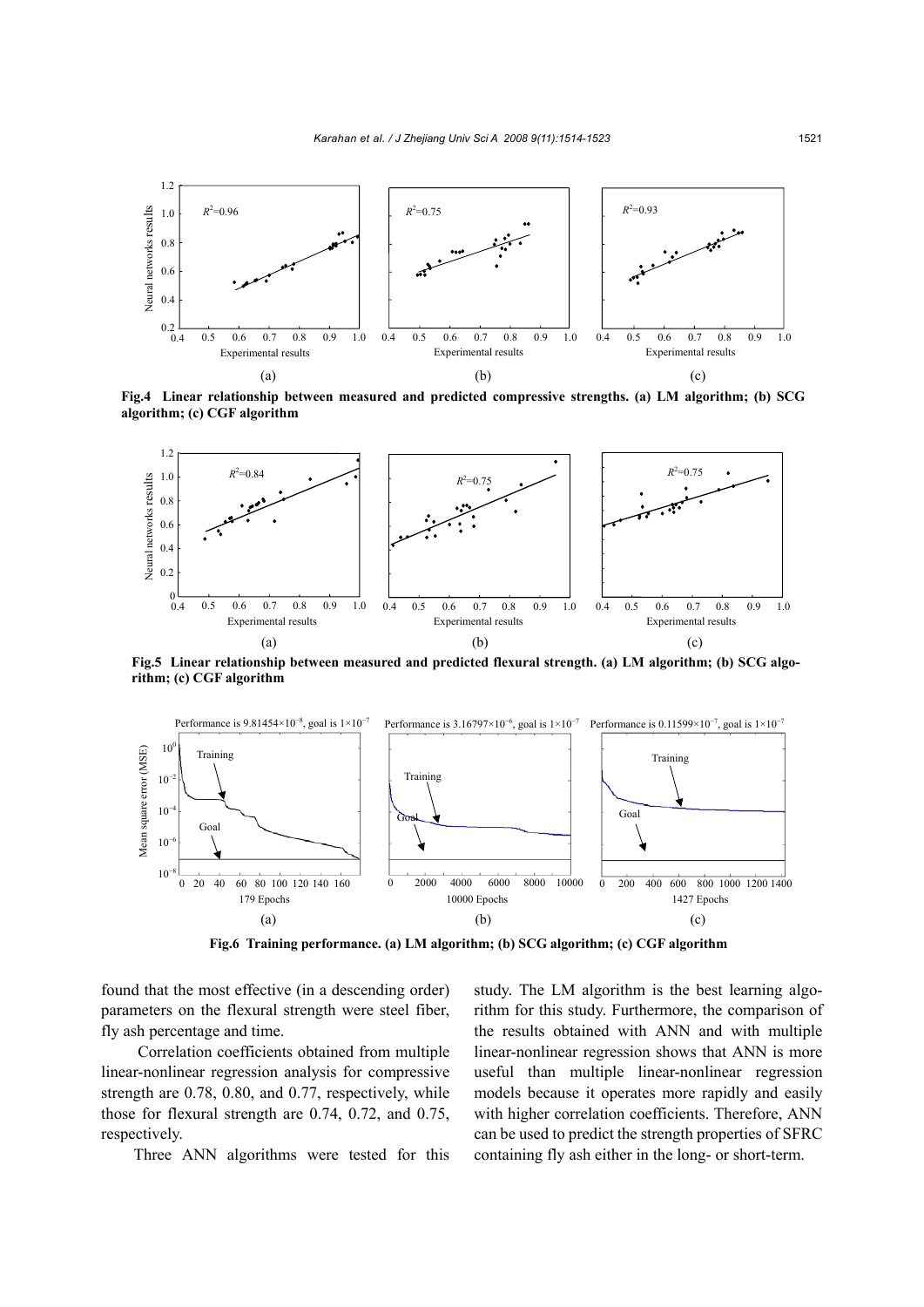

**Fig.4 Linear relationship between measured and predicted compressive strengths. (a) LM algorithm; (b) SCG algorithm; (c) CGF algorithm**



**Fig.5 Linear relationship between measured and predicted flexural strength. (a) LM algorithm; (b) SCG algorithm; (c) CGF algorithm**



**Fig.6 Training performance. (a) LM algorithm; (b) SCG algorithm; (c) CGF algorithm**

found that the most effective (in a descending order) parameters on the flexural strength were steel fiber, fly ash percentage and time.

 Correlation coefficients obtained from multiple linear-nonlinear regression analysis for compressive strength are 0.78, 0.80, and 0.77, respectively, while those for flexural strength are 0.74, 0.72, and 0.75, respectively.

Three ANN algorithms were tested for this

study. The LM algorithm is the best learning algorithm for this study. Furthermore, the comparison of the results obtained with ANN and with multiple linear-nonlinear regression shows that ANN is more useful than multiple linear-nonlinear regression models because it operates more rapidly and easily with higher correlation coefficients. Therefore, ANN can be used to predict the strength properties of SFRC containing fly ash either in the long- or short-term.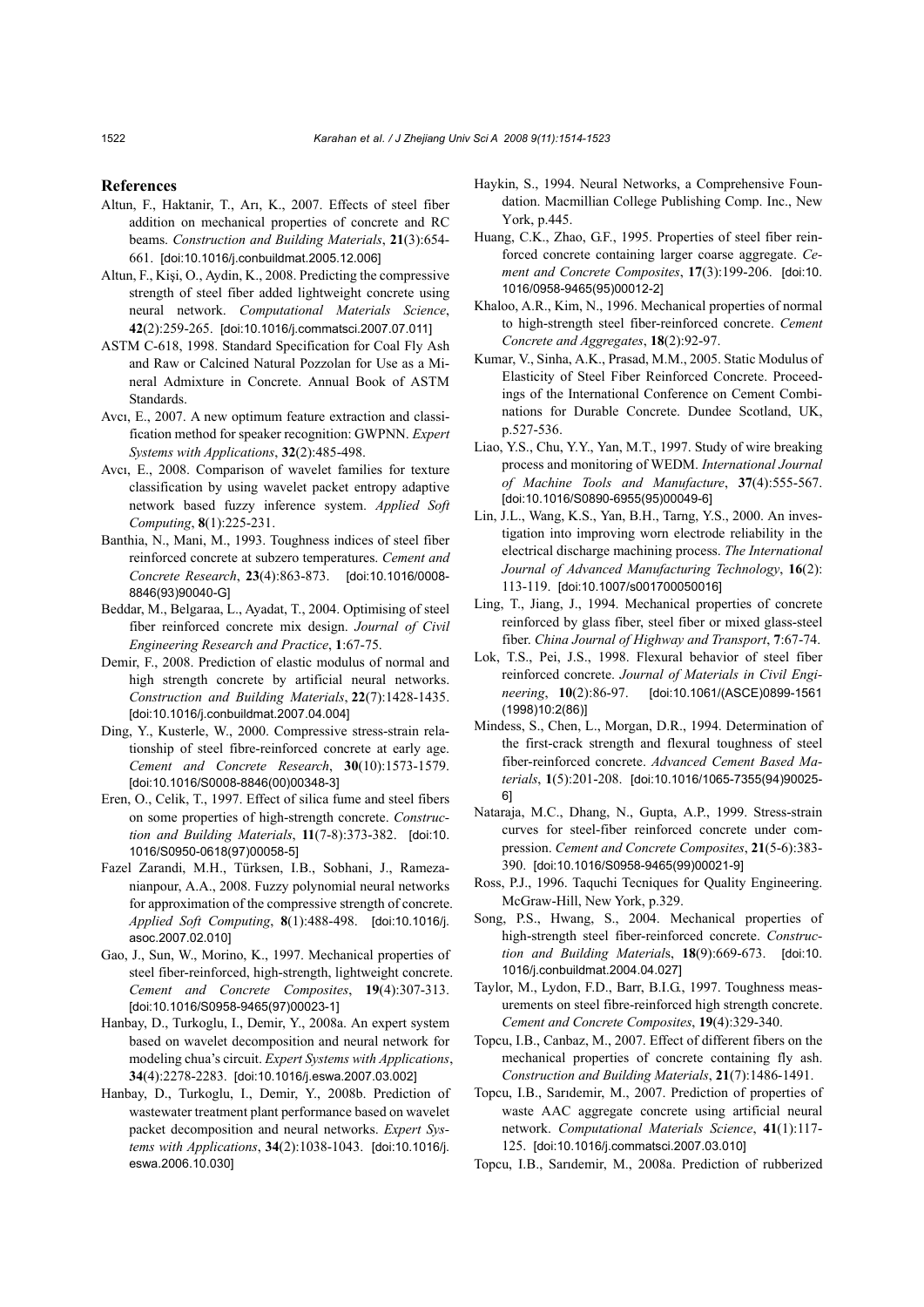#### **References**

- Altun, F., Haktanir, T., Arı, K., 2007. Effects of steel fiber addition on mechanical properties of concrete and RC beams. *Construction and Building Materials*, **21**(3):654- 661. [doi:10.1016/j.conbuildmat.2005.12.006]
- Altun, F., Kişi, O., Aydin, K., 2008. Predicting the compressive strength of steel fiber added lightweight concrete using neural network. *Computational Materials Science*, **42**(2):259-265. [doi:10.1016/j.commatsci.2007.07.011]
- ASTM C-618, 1998. Standard Specification for Coal Fly Ash and Raw or Calcined Natural Pozzolan for Use as a Mineral Admixture in Concrete. Annual Book of ASTM Standards.
- Avcı, E., 2007. A new optimum feature extraction and classification method for speaker recognition: GWPNN. *Expert Systems with Applications*, **32**(2):485-498.
- Avcı, E., 2008. Comparison of wavelet families for texture classification by using wavelet packet entropy adaptive network based fuzzy inference system. *Applied Soft Computing*, **8**(1):225-231.
- Banthia, N., Mani, M., 1993. Toughness indices of steel fiber reinforced concrete at subzero temperatures. *Cement and Concrete Research*, **23**(4):863-873. [doi:10.1016/0008- 8846(93)90040-G]
- Beddar, M., Belgaraa, L., Ayadat, T., 2004. Optimising of steel fiber reinforced concrete mix design. *Journal of Civil Engineering Research and Practice*, **1**:67-75.
- Demir, F., 2008. Prediction of elastic modulus of normal and high strength concrete by artificial neural networks. *Construction and Building Materials*, **22**(7):1428-1435. [doi:10.1016/j.conbuildmat.2007.04.004]
- Ding, Y., Kusterle, W., 2000. Compressive stress-strain relationship of steel fibre-reinforced concrete at early age. *Cement and Concrete Research*, **30**(10):1573-1579. [doi:10.1016/S0008-8846(00)00348-3]
- Eren, O., Celik, T., 1997. Effect of silica fume and steel fibers on some properties of high-strength concrete. *Construction and Building Materials*, **11**(7-8):373-382. [doi:10. 1016/S0950-0618(97)00058-5]
- Fazel Zarandi, M.H., Türksen, I.B., Sobhani, J., Ramezanianpour, A.A., 2008. Fuzzy polynomial neural networks for approximation of the compressive strength of concrete. *Applied Soft Computing*, **8**(1):488-498. [doi:10.1016/j. asoc.2007.02.010]
- Gao, J., Sun, W., Morino, K., 1997. Mechanical properties of steel fiber-reinforced, high-strength, lightweight concrete. *Cement and Concrete Composites*, **19**(4):307-313. [doi:10.1016/S0958-9465(97)00023-1]
- Hanbay, D., Turkoglu, I., Demir, Y., 2008a. An expert system based on wavelet decomposition and neural network for modeling chua's circuit. *Expert Systems with Applications*, **34**(4):2278-2283. [doi:10.1016/j.eswa.2007.03.002]
- Hanbay, D., Turkoglu, I., Demir, Y., 2008b. Prediction of wastewater treatment plant performance based on wavelet packet decomposition and neural networks. *Expert Systems with Applications*, **34**(2):1038-1043. [doi:10.1016/j. eswa.2006.10.030]
- Haykin, S., 1994. Neural Networks, a Comprehensive Foundation. Macmillian College Publishing Comp. Inc., New York, p.445.
- Huang, C.K., Zhao, G.F., 1995. Properties of steel fiber reinforced concrete containing larger coarse aggregate. *Cement and Concrete Composites*, **17**(3):199-206. [doi:10. 1016/0958-9465(95)00012-2]
- Khaloo, A.R., Kim, N., 1996. Mechanical properties of normal to high-strength steel fiber-reinforced concrete. *Cement Concrete and Aggregates*, **18**(2):92-97.
- Kumar, V., Sinha, A.K., Prasad, M.M., 2005. Static Modulus of Elasticity of Steel Fiber Reinforced Concrete. Proceedings of the International Conference on Cement Combinations for Durable Concrete. Dundee Scotland, UK, p.527-536.
- Liao, Y.S., Chu, Y.Y., Yan, M.T., 1997. Study of wire breaking process and monitoring of WEDM. *International Journal of Machine Tools and Manufacture*, **37**(4):555-567. [doi:10.1016/S0890-6955(95)00049-6]
- Lin, J.L., Wang, K.S., Yan, B.H., Tarng, Y.S., 2000. An investigation into improving worn electrode reliability in the electrical discharge machining process. *The International Journal of Advanced Manufacturing Technology*, **16**(2): 113-119. [doi:10.1007/s001700050016]
- Ling, T., Jiang, J., 1994. Mechanical properties of concrete reinforced by glass fiber, steel fiber or mixed glass-steel fiber. *China Journal of Highway and Transport*, **7**:67-74.
- Lok, T.S., Pei, J.S., 1998. Flexural behavior of steel fiber reinforced concrete. *Journal of Materials in Civil Engineering*, **10**(2):86-97. [doi:10.1061/(ASCE)0899-1561 (1998)10:2(86)]
- Mindess, S., Chen, L., Morgan, D.R., 1994. Determination of the first-crack strength and flexural toughness of steel fiber-reinforced concrete. *Advanced Cement Based Materials*, **1**(5):201-208. [doi:10.1016/1065-7355(94)90025- 6]
- Nataraja, M.C., Dhang, N., Gupta, A.P., 1999. Stress-strain curves for steel-fiber reinforced concrete under compression. *Cement and Concrete Composites*, **21**(5-6):383- 390. [doi:10.1016/S0958-9465(99)00021-9]
- Ross, P.J., 1996. Taquchi Tecniques for Quality Engineering. McGraw-Hill, New York, p.329.
- Song, P.S., Hwang, S., 2004. Mechanical properties of high-strength steel fiber-reinforced concrete. *Construction and Building Material*s, **18**(9):669-673. [doi:10. 1016/j.conbuildmat.2004.04.027]
- Taylor, M., Lydon, F.D., Barr, B.I.G., 1997. Toughness measurements on steel fibre-reinforced high strength concrete. *Cement and Concrete Composites*, **19**(4):329-340.
- Topcu, I.B., Canbaz, M., 2007. Effect of different fibers on the mechanical properties of concrete containing fly ash. *Construction and Building Materials*, **21**(7):1486-1491.
- Topcu, I.B., Sarıdemir, M., 2007. Prediction of properties of waste AAC aggregate concrete using artificial neural network. *Computational Materials Science*, **41**(1):117- 125. [doi:10.1016/j.commatsci.2007.03.010]
- Topcu, I.B., Sarıdemir, M., 2008a. Prediction of rubberized